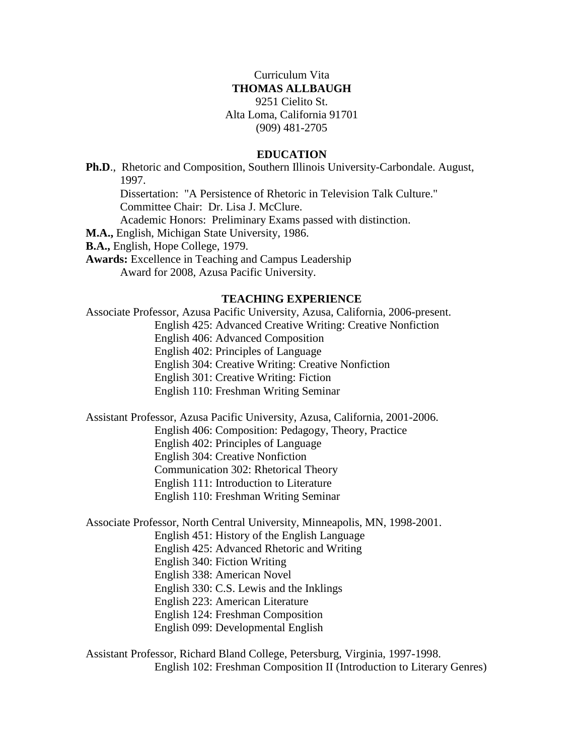# Curriculum Vita **THOMAS ALLBAUGH** 9251 Cielito St. Alta Loma, California 91701 (909) 481-2705

#### **EDUCATION**

**Ph.D**., Rhetoric and Composition, Southern Illinois University-Carbondale. August, 1997.

Dissertation: "A Persistence of Rhetoric in Television Talk Culture." Committee Chair: Dr. Lisa J. McClure.

Academic Honors: Preliminary Exams passed with distinction.

**M.A.,** English, Michigan State University, 1986.

**B.A.,** English, Hope College, 1979.

**Awards:** Excellence in Teaching and Campus Leadership Award for 2008, Azusa Pacific University.

### **TEACHING EXPERIENCE**

Associate Professor, Azusa Pacific University, Azusa, California, 2006-present. English 425: Advanced Creative Writing: Creative Nonfiction English 406: Advanced Composition English 402: Principles of Language English 304: Creative Writing: Creative Nonfiction English 301: Creative Writing: Fiction English 110: Freshman Writing Seminar

Assistant Professor, Azusa Pacific University, Azusa, California, 2001-2006. English 406: Composition: Pedagogy, Theory, Practice English 402: Principles of Language English 304: Creative Nonfiction Communication 302: Rhetorical Theory English 111: Introduction to Literature English 110: Freshman Writing Seminar

Associate Professor, North Central University, Minneapolis, MN, 1998-2001.

English 451: History of the English Language

English 425: Advanced Rhetoric and Writing

English 340: Fiction Writing

English 338: American Novel

English 330: C.S. Lewis and the Inklings

English 223: American Literature

English 124: Freshman Composition

English 099: Developmental English

Assistant Professor, Richard Bland College, Petersburg, Virginia, 1997-1998. English 102: Freshman Composition II (Introduction to Literary Genres)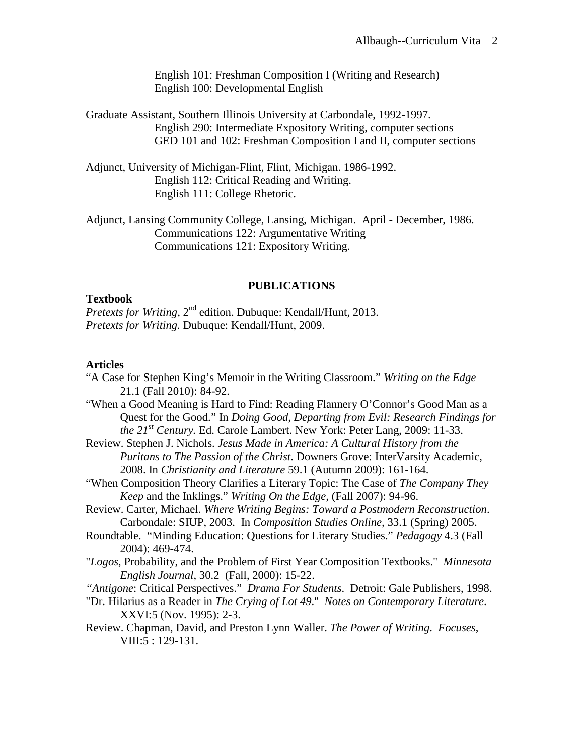English 101: Freshman Composition I (Writing and Research) English 100: Developmental English

Graduate Assistant, Southern Illinois University at Carbondale, 1992-1997. English 290: Intermediate Expository Writing, computer sections GED 101 and 102: Freshman Composition I and II, computer sections

Adjunct, University of Michigan-Flint, Flint, Michigan. 1986-1992. English 112: Critical Reading and Writing. English 111: College Rhetoric.

Adjunct, Lansing Community College, Lansing, Michigan. April - December, 1986. Communications 122: Argumentative Writing Communications 121: Expository Writing.

#### **PUBLICATIONS**

#### **Textbook**

*Pretexts for Writing,* 2nd edition. Dubuque: Kendall/Hunt, 2013. *Pretexts for Writing.* Dubuque: Kendall/Hunt, 2009.

#### **Articles**

- "A Case for Stephen King's Memoir in the Writing Classroom." *Writing on the Edge* 21.1 (Fall 2010): 84-92.
- "When a Good Meaning is Hard to Find: Reading Flannery O'Connor's Good Man as a Quest for the Good." In *Doing Good, Departing from Evil: Research Findings for the 21st Century.* Ed. Carole Lambert. New York: Peter Lang, 2009: 11-33.
- Review. Stephen J. Nichols. *Jesus Made in America: A Cultural History from the Puritans to The Passion of the Christ*. Downers Grove: InterVarsity Academic, 2008. In *Christianity and Literature* 59.1 (Autumn 2009): 161-164.
- "When Composition Theory Clarifies a Literary Topic: The Case of *The Company They Keep* and the Inklings." *Writing On the Edge,* (Fall 2007): 94-96.
- Review. Carter, Michael. *Where Writing Begins: Toward a Postmodern Reconstruction*. Carbondale: SIUP, 2003. In *Composition Studies Online,* 33.1 (Spring) 2005.
- Roundtable. "Minding Education: Questions for Literary Studies." *Pedagogy* 4.3 (Fall 2004): 469-474.
- "*Logos*, Probability, and the Problem of First Year Composition Textbooks." *Minnesota English Journal*, 30.2 (Fall, 2000): 15-22.
- *"Antigone*: Critical Perspectives." *Drama For Students*. Detroit: Gale Publishers, 1998.
- "Dr. Hilarius as a Reader in *The Crying of Lot 49*." *Notes on Contemporary Literature*. XXVI:5 (Nov. 1995): 2-3.
- Review. Chapman, David, and Preston Lynn Waller. *The Power of Writing*. *Focuses*, VIII:5 : 129-131.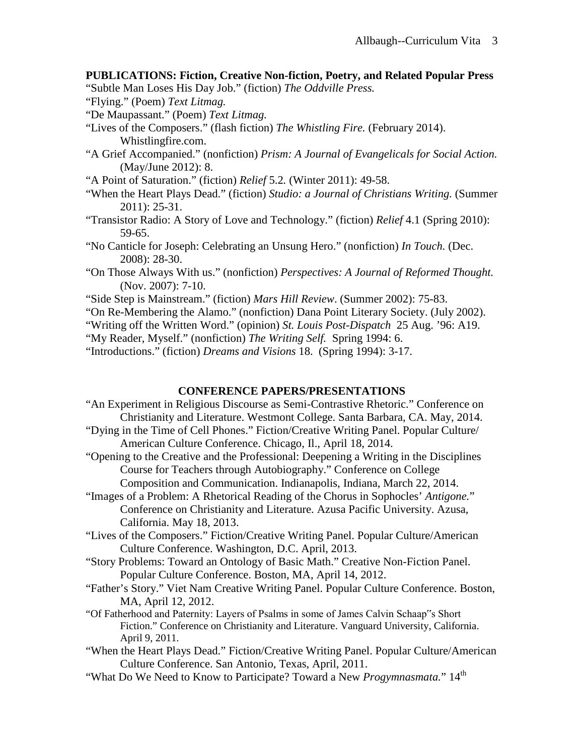**PUBLICATIONS: Fiction, Creative Non-fiction, Poetry, and Related Popular Press** "Subtle Man Loses His Day Job." (fiction) *The Oddville Press.* 

"Flying." (Poem) *Text Litmag.* 

"De Maupassant." (Poem) *Text Litmag.* 

- "Lives of the Composers." (flash fiction) *The Whistling Fire.* (February 2014). Whistlingfire.com.
- "A Grief Accompanied." (nonfiction) *Prism: A Journal of Evangelicals for Social Action.* (May/June 2012): 8.
- "A Point of Saturation." (fiction) *Relief* 5.2*.* (Winter 2011): 49-58.
- "When the Heart Plays Dead." (fiction) *Studio: a Journal of Christians Writing.* (Summer 2011): 25-31.
- "Transistor Radio: A Story of Love and Technology." (fiction) *Relief* 4.1 (Spring 2010): 59-65.
- "No Canticle for Joseph: Celebrating an Unsung Hero." (nonfiction) *In Touch.* (Dec. 2008): 28-30.
- "On Those Always With us." (nonfiction) *Perspectives: A Journal of Reformed Thought.* (Nov. 2007): 7-10.
- "Side Step is Mainstream." (fiction) *Mars Hill Review*. (Summer 2002): 75-83.
- "On Re-Membering the Alamo." (nonfiction) Dana Point Literary Society. (July 2002).
- "Writing off the Written Word." (opinion) *St. Louis Post-Dispatch* 25 Aug. '96: A19.
- "My Reader, Myself." (nonfiction) *The Writing Self.* Spring 1994: 6.

"Introductions." (fiction) *Dreams and Visions* 18. (Spring 1994): 3-17.

### **CONFERENCE PAPERS/PRESENTATIONS**

- "An Experiment in Religious Discourse as Semi-Contrastive Rhetoric." Conference on Christianity and Literature. Westmont College. Santa Barbara, CA. May, 2014. "Dying in the Time of Cell Phones." Fiction/Creative Writing Panel. Popular Culture/
- American Culture Conference. Chicago, Il., April 18, 2014.
- "Opening to the Creative and the Professional: Deepening a Writing in the Disciplines Course for Teachers through Autobiography." Conference on College Composition and Communication. Indianapolis, Indiana, March 22, 2014.
- "Images of a Problem: A Rhetorical Reading of the Chorus in Sophocles' *Antigone.*" Conference on Christianity and Literature. Azusa Pacific University. Azusa, California. May 18, 2013.
- "Lives of the Composers." Fiction/Creative Writing Panel. Popular Culture/American Culture Conference. Washington, D.C. April, 2013.
- "Story Problems: Toward an Ontology of Basic Math." Creative Non-Fiction Panel. Popular Culture Conference. Boston, MA, April 14, 2012.
- "Father's Story." Viet Nam Creative Writing Panel. Popular Culture Conference. Boston, MA, April 12, 2012.
- "Of Fatherhood and Paternity: Layers of Psalms in some of James Calvin Schaap"s Short Fiction." Conference on Christianity and Literature. Vanguard University, California. April 9, 2011.
- "When the Heart Plays Dead." Fiction/Creative Writing Panel. Popular Culture/American Culture Conference. San Antonio, Texas, April, 2011.
- "What Do We Need to Know to Participate? Toward a New *Progymnasmata*." 14<sup>th</sup>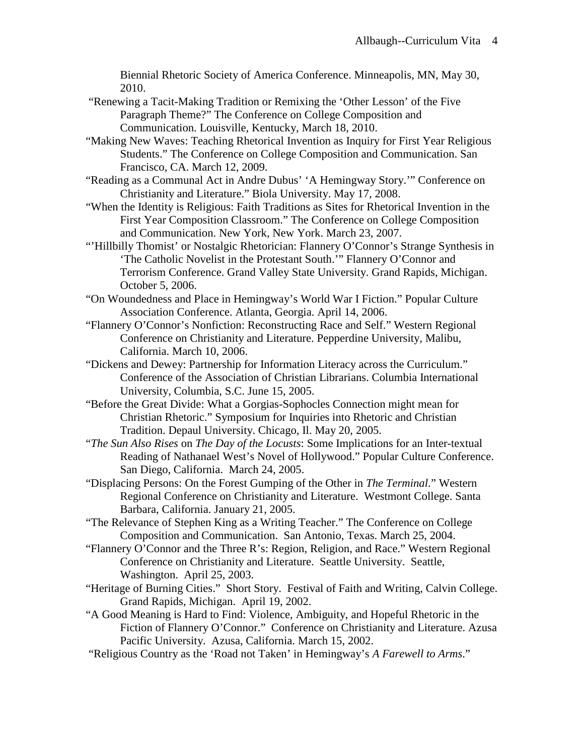Biennial Rhetoric Society of America Conference. Minneapolis, MN, May 30, 2010.

- "Renewing a Tacit-Making Tradition or Remixing the 'Other Lesson' of the Five Paragraph Theme?" The Conference on College Composition and Communication. Louisville, Kentucky, March 18, 2010.
- "Making New Waves: Teaching Rhetorical Invention as Inquiry for First Year Religious Students." The Conference on College Composition and Communication. San Francisco, CA. March 12, 2009.
- "Reading as a Communal Act in Andre Dubus' 'A Hemingway Story.'" Conference on Christianity and Literature." Biola University. May 17, 2008.
- "When the Identity is Religious: Faith Traditions as Sites for Rhetorical Invention in the First Year Composition Classroom." The Conference on College Composition and Communication. New York, New York. March 23, 2007.
- "'Hillbilly Thomist' or Nostalgic Rhetorician: Flannery O'Connor's Strange Synthesis in 'The Catholic Novelist in the Protestant South.'" Flannery O'Connor and Terrorism Conference. Grand Valley State University. Grand Rapids, Michigan. October 5, 2006.
- "On Woundedness and Place in Hemingway's World War I Fiction." Popular Culture Association Conference. Atlanta, Georgia. April 14, 2006.
- "Flannery O'Connor's Nonfiction: Reconstructing Race and Self." Western Regional Conference on Christianity and Literature. Pepperdine University, Malibu, California. March 10, 2006.
- "Dickens and Dewey: Partnership for Information Literacy across the Curriculum." Conference of the Association of Christian Librarians. Columbia International University, Columbia, S.C. June 15, 2005.
- "Before the Great Divide: What a Gorgias-Sophocles Connection might mean for Christian Rhetoric." Symposium for Inquiries into Rhetoric and Christian Tradition. Depaul University. Chicago, Il. May 20, 2005.
- "*The Sun Also Rises* on *The Day of the Locusts*: Some Implications for an Inter-textual Reading of Nathanael West's Novel of Hollywood." Popular Culture Conference. San Diego, California. March 24, 2005.
- "Displacing Persons: On the Forest Gumping of the Other in *The Terminal*." Western Regional Conference on Christianity and Literature. Westmont College. Santa Barbara, California. January 21, 2005.
- "The Relevance of Stephen King as a Writing Teacher." The Conference on College Composition and Communication. San Antonio, Texas. March 25, 2004.
- "Flannery O'Connor and the Three R's: Region, Religion, and Race." Western Regional Conference on Christianity and Literature. Seattle University. Seattle, Washington. April 25, 2003.
- "Heritage of Burning Cities." Short Story. Festival of Faith and Writing, Calvin College. Grand Rapids, Michigan. April 19, 2002.
- "A Good Meaning is Hard to Find: Violence, Ambiguity, and Hopeful Rhetoric in the Fiction of Flannery O'Connor." Conference on Christianity and Literature. Azusa Pacific University. Azusa, California. March 15, 2002.
- "Religious Country as the 'Road not Taken' in Hemingway's *A Farewell to Arms*."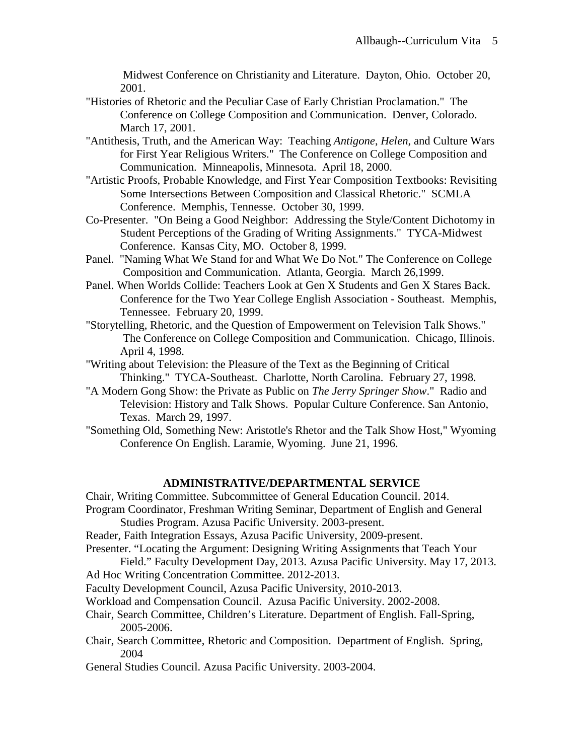Midwest Conference on Christianity and Literature. Dayton, Ohio. October 20, 2001.

- "Histories of Rhetoric and the Peculiar Case of Early Christian Proclamation." The Conference on College Composition and Communication. Denver, Colorado. March 17, 2001.
- "Antithesis, Truth, and the American Way: Teaching *Antigone*, *Helen*, and Culture Wars for First Year Religious Writers." The Conference on College Composition and Communication. Minneapolis, Minnesota. April 18, 2000.
- "Artistic Proofs, Probable Knowledge, and First Year Composition Textbooks: Revisiting Some Intersections Between Composition and Classical Rhetoric." SCMLA Conference. Memphis, Tennesse. October 30, 1999.
- Co-Presenter. "On Being a Good Neighbor: Addressing the Style/Content Dichotomy in Student Perceptions of the Grading of Writing Assignments." TYCA-Midwest Conference. Kansas City, MO. October 8, 1999.
- Panel. "Naming What We Stand for and What We Do Not." The Conference on College Composition and Communication. Atlanta, Georgia. March 26,1999.
- Panel. When Worlds Collide: Teachers Look at Gen X Students and Gen X Stares Back. Conference for the Two Year College English Association - Southeast. Memphis, Tennessee. February 20, 1999.
- "Storytelling, Rhetoric, and the Question of Empowerment on Television Talk Shows." The Conference on College Composition and Communication. Chicago, Illinois. April 4, 1998.
- "Writing about Television: the Pleasure of the Text as the Beginning of Critical Thinking." TYCA-Southeast. Charlotte, North Carolina. February 27, 1998.
- "A Modern Gong Show: the Private as Public on *The Jerry Springer Show*." Radio and Television: History and Talk Shows. Popular Culture Conference. San Antonio, Texas. March 29, 1997.
- "Something Old, Something New: Aristotle's Rhetor and the Talk Show Host," Wyoming Conference On English. Laramie, Wyoming. June 21, 1996.

# **ADMINISTRATIVE/DEPARTMENTAL SERVICE**

- Chair, Writing Committee. Subcommittee of General Education Council. 2014.
- Program Coordinator, Freshman Writing Seminar, Department of English and General Studies Program. Azusa Pacific University. 2003-present.
- Reader, Faith Integration Essays, Azusa Pacific University, 2009-present.

Presenter. "Locating the Argument: Designing Writing Assignments that Teach Your Field." Faculty Development Day, 2013. Azusa Pacific University. May 17, 2013.

- Ad Hoc Writing Concentration Committee. 2012-2013.
- Faculty Development Council, Azusa Pacific University, 2010-2013.
- Workload and Compensation Council. Azusa Pacific University. 2002-2008.
- Chair, Search Committee, Children's Literature. Department of English. Fall-Spring, 2005-2006.
- Chair, Search Committee, Rhetoric and Composition. Department of English. Spring, 2004
- General Studies Council. Azusa Pacific University. 2003-2004.